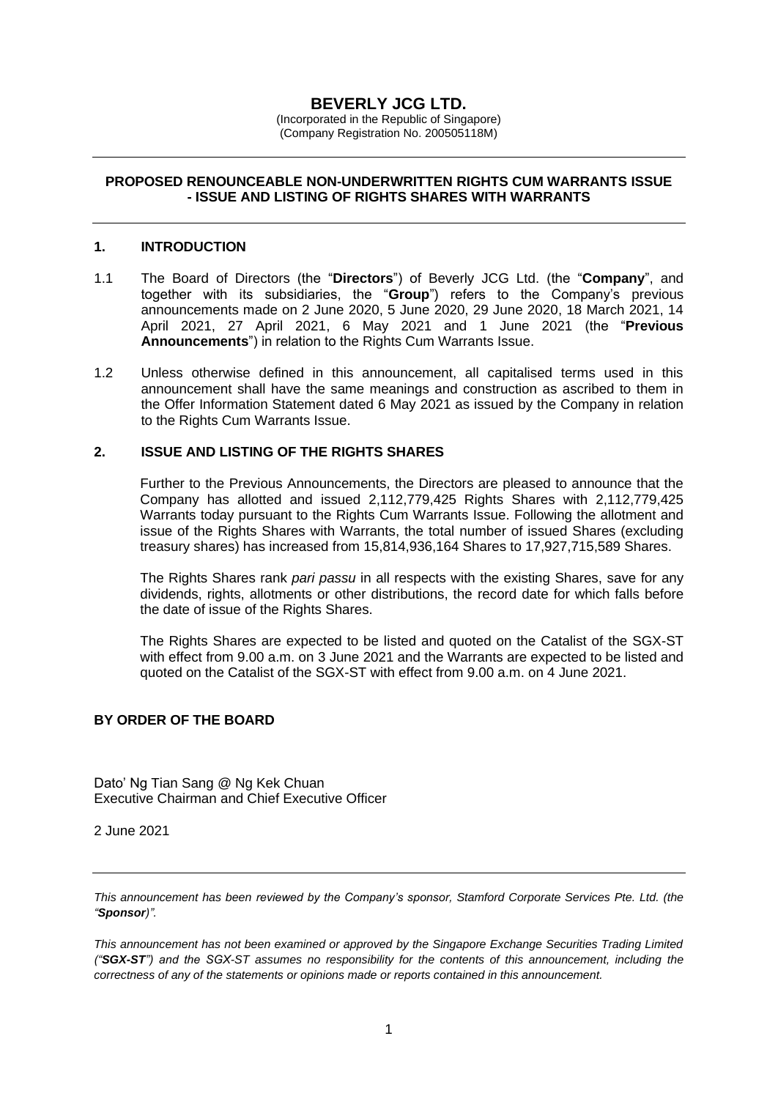# **BEVERLY JCG LTD.**

(Incorporated in the Republic of Singapore) (Company Registration No. 200505118M)

## **PROPOSED RENOUNCEABLE NON-UNDERWRITTEN RIGHTS CUM WARRANTS ISSUE - ISSUE AND LISTING OF RIGHTS SHARES WITH WARRANTS**

#### **1. INTRODUCTION**

- 1.1 The Board of Directors (the "**Directors**") of Beverly JCG Ltd. (the "**Company**", and together with its subsidiaries, the "**Group**") refers to the Company's previous announcements made on 2 June 2020, 5 June 2020, 29 June 2020, 18 March 2021, 14 April 2021, 27 April 2021, 6 May 2021 and 1 June 2021 (the "**Previous Announcements**") in relation to the Rights Cum Warrants Issue.
- 1.2 Unless otherwise defined in this announcement, all capitalised terms used in this announcement shall have the same meanings and construction as ascribed to them in the Offer Information Statement dated 6 May 2021 as issued by the Company in relation to the Rights Cum Warrants Issue.

#### **2. ISSUE AND LISTING OF THE RIGHTS SHARES**

Further to the Previous Announcements, the Directors are pleased to announce that the Company has allotted and issued 2,112,779,425 Rights Shares with 2,112,779,425 Warrants today pursuant to the Rights Cum Warrants Issue. Following the allotment and issue of the Rights Shares with Warrants, the total number of issued Shares (excluding treasury shares) has increased from 15,814,936,164 Shares to 17,927,715,589 Shares.

The Rights Shares rank *pari passu* in all respects with the existing Shares, save for any dividends, rights, allotments or other distributions, the record date for which falls before the date of issue of the Rights Shares.

The Rights Shares are expected to be listed and quoted on the Catalist of the SGX-ST with effect from 9.00 a.m. on 3 June 2021 and the Warrants are expected to be listed and quoted on the Catalist of the SGX-ST with effect from 9.00 a.m. on 4 June 2021.

## **BY ORDER OF THE BOARD**

Dato' Ng Tian Sang @ Ng Kek Chuan Executive Chairman and Chief Executive Officer

2 June 2021

*This announcement has been reviewed by the Company's sponsor, Stamford Corporate Services Pte. Ltd. (the "Sponsor)".*

*This announcement has not been examined or approved by the Singapore Exchange Securities Trading Limited ("SGX-ST") and the SGX-ST assumes no responsibility for the contents of this announcement, including the correctness of any of the statements or opinions made or reports contained in this announcement.*